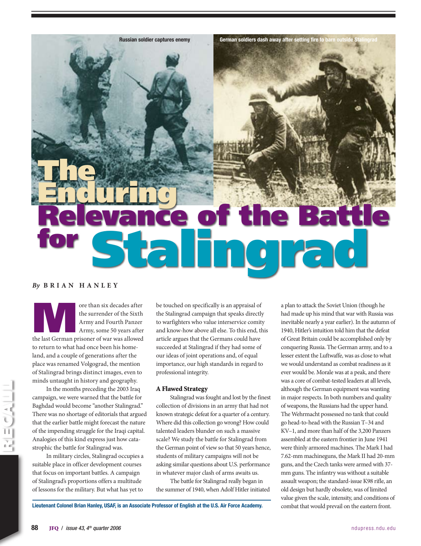

Russian soldier captures enemy German soldiers dash away after setting fire to barn outside Staling

### *By* **B rian H anle y**

ore than six decades after<br>the surrender of the Sixth<br>Army and Fourth Panzer<br>Army, some 50 years after<br>the last German prisoner of war was allowed the surrender of the Sixth Army and Fourth Panzer Army, some 50 years after to return to what had once been his homeland, and a couple of generations after the place was renamed Volgograd, the mention of Stalingrad brings distinct images, even to minds untaught in history and geography.

In the months preceding the 2003 Iraq campaign, we were warned that the battle for Baghdad would become "another Stalingrad." There was no shortage of editorials that argued that the earlier battle might forecast the nature of the impending struggle for the Iraqi capital. Analogies of this kind express just how catastrophic the battle for Stalingrad was.

In military circles, Stalingrad occupies a suitable place in officer development courses that focus on important battles. A campaign of Stalingrad's proportions offers a multitude of lessons for the military. But what has yet to

be touched on specifically is an appraisal of the Stalingrad campaign that speaks directly to warfighters who value interservice comity and know-how above all else. To this end, this article argues that the Germans could have succeeded at Stalingrad if they had some of our ideas of joint operations and, of equal importance, our high standards in regard to professional integrity.

### A Flawed Strategy

Stalingrad was fought and lost by the finest collection of divisions in an army that had not known strategic defeat for a quarter of a century. Where did this collection go wrong? How could talented leaders blunder on such a massive scale? We study the battle for Stalingrad from the German point of view so that 50 years hence, students of military campaigns will not be asking similar questions about U.S. performance in whatever major clash of arms awaits us.

The battle for Stalingrad really began in the summer of 1940, when Adolf Hitler initiated a plan to attack the Soviet Union (though he had made up his mind that war with Russia was inevitable nearly a year earlier). In the autumn of 1940, Hitler's intuition told him that the defeat of Great Britain could be accomplished only by conquering Russia. The German army, and to a lesser extent the Luftwaffe, was as close to what we would understand as combat readiness as it ever would be. Morale was at a peak, and there was a core of combat-tested leaders at all levels, although the German equipment was wanting in major respects. In both numbers and quality of weapons, the Russians had the upper hand. The Wehrmacht possessed no tank that could go head-to-head with the Russian T–34 and KV–1, and more than half of the 3,200 Panzers assembled at the eastern frontier in June 1941 were thinly armored machines. The Mark I had 7.62-mm machineguns, the Mark II had 20-mm guns, and the Czech tanks were armed with 37 mm guns. The infantry was without a suitable assault weapon; the standard-issue K98 rifle, an old design but hardly obsolete, was of limited value given the scale, intensity, and conditions of combat that would prevail on the eastern front.

Lieutenant Colonel Brian Hanley, USAF, is an Associate Professor of English at the U.S. Air Force Academy.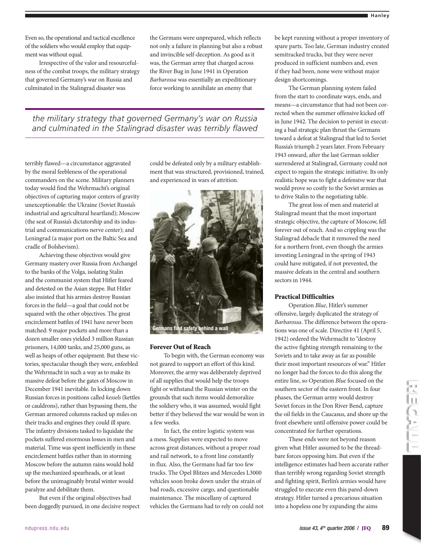Even so, the operational and tactical excellence of the soldiers who would employ that equipment was without equal.

Irrespective of the valor and resourcefulness of the combat troops, the military strategy that governed Germany's war on Russia and culminated in the Stalingrad disaster was

the Germans were unprepared, which reflects not only a failure in planning but also a robust and invincible self-deception. As good as it was, the German army that charged across the River Bug in June 1941 in Operation *Barbarossa* was essentially an expeditionary force working to annihilate an enemy that

*the military strategy that governed Germany's war on Russia and culminated in the Stalingrad disaster was terribly flawed*

terribly flawed—a circumstance aggravated by the moral feebleness of the operational commanders on the scene. Military planners today would find the Wehrmacht's original objectives of capturing major centers of gravity unexceptionable: the Ukraine (Soviet Russia's industrial and agricultural heartland); Moscow (the seat of Russia's dictatorship and its industrial and communications nerve center); and Leningrad (a major port on the Baltic Sea and cradle of Bolshevism).

Achieving these objectives would give Germany mastery over Russia from Archangel to the banks of the Volga, isolating Stalin and the communist system that Hitler feared and detested on the Asian steppe. But Hitler also insisted that his armies destroy Russian forces in the field—a goal that could not be squared with the other objectives. The great encirclement battles of 1941 have never been matched: 9 major pockets and more than a dozen smaller ones yielded 3 million Russian prisoners, 14,000 tanks, and 25,000 guns, as well as heaps of other equipment. But these victories, spectacular though they were, enfeebled the Wehrmacht in such a way as to make its massive defeat before the gates of Moscow in December 1941 inevitable. In locking down Russian forces in positions called *kessels* (kettles or cauldrons), rather than bypassing them, the German armored columns racked up miles on their tracks and engines they could ill spare. The infantry divisions tasked to liquidate the pockets suffered enormous losses in men and material. Time was spent inefficiently in these encirclement battles rather than in storming Moscow before the autumn rains would hold up the mechanized spearheads, or at least before the unimaginably brutal winter would paralyze and debilitate them.

But even if the original objectives had been doggedly pursued, in one decisive respect could be defeated only by a military establishment that was structured, provisioned, trained, and experienced in wars of attrition.



### Forever Out of Reach

To begin with, the German economy was not geared to support an effort of this kind. Moreover, the army was deliberately deprived of all supplies that would help the troops fight or withstand the Russian winter on the grounds that such items would demoralize the soldiery who, it was assumed, would fight better if they believed the war would be won in a few weeks.

In fact, the entire logistic system was a mess. Supplies were expected to move across great distances, without a proper road and rail network, to a front line constantly in flux. Also, the Germans had far too few trucks. The Opel Blitzes and Mercedes L3000 vehicles soon broke down under the strain of bad roads, excessive cargo, and questionable maintenance. The miscellany of captured vehicles the Germans had to rely on could not be kept running without a proper inventory of spare parts. Too late, German industry created semitracked trucks, but they were never produced in sufficient numbers and, even if they had been, none were without major design shortcomings.

The German planning system failed from the start to coordinate ways, ends, and means—a circumstance that had not been corrected when the summer offensive kicked off in June 1942. The decision to persist in executing a bad strategic plan thrust the Germans toward a defeat at Stalingrad that led to Soviet Russia's triumph 2 years later. From February 1943 onward, after the last German soldier surrendered at Stalingrad, Germany could not expect to regain the strategic initiative. Its only realistic hope was to fight a defensive war that would prove so costly to the Soviet armies as to drive Stalin to the negotiating table.

The great loss of men and materiel at Stalingrad meant that the most important strategic objective, the capture of Moscow, fell forever out of reach. And so crippling was the Stalingrad debacle that it removed the need for a northern front, even though the armies investing Leningrad in the spring of 1943 could have mitigated, if not prevented, the massive defeats in the central and southern sectors in 1944.

### Practical Difficulties

Operation *Blue*, Hitler's summer offensive, largely duplicated the strategy of *Barbarossa*. The difference between the operations was one of scale. Directive 41 (April 5, 1942) ordered the Wehrmacht to "destroy the active fighting strength remaining to the Soviets and to take away as far as possible their most important resources of war." Hitler no longer had the forces to do this along the entire line, so Operation *Blue* focused on the southern sector of the eastern front. In four phases, the German army would destroy Soviet forces in the Don River Bend, capture the oil fields in the Caucasus, and shore up the front elsewhere until offensive power could be concentrated for further operations.

These ends were not beyond reason given what Hitler assumed to be the threadbare forces opposing him. But even if the intelligence estimates had been accurate rather than terribly wrong regarding Soviet strength and fighting spirit, Berlin's armies would have struggled to execute even this pared-down strategy. Hitler turned a precarious situation into a hopeless one by expanding the aims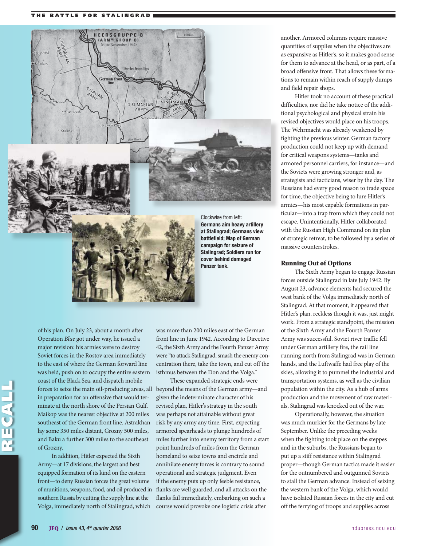### THE BATTLE FOR STALINGRAD



battlefield; Map of German campaign for seizure of Stalingrad; Soldiers run for cover behind damaged Panzer tank.

RECALL

of his plan. On July 23, about a month after Operation *Blue* got under way, he issued a major revision: his armies were to destroy Soviet forces in the Rostov area immediately to the east of where the German forward line was held, push on to occupy the entire eastern coast of the Black Sea, and dispatch mobile forces to seize the main oil-producing areas, all beyond the means of the German army—and in preparation for an offensive that would terminate at the north shore of the Persian Gulf. Maikop was the nearest objective at 200 miles southeast of the German front line. Astrakhan lay some 350 miles distant, Grozny 500 miles, and Baku a further 300 miles to the southeast of Grozny.

In addition, Hitler expected the Sixth Army—at 17 divisions, the largest and best equipped formation of its kind on the eastern front—to deny Russian forces the great volume of munitions, weapons, food, and oil produced in southern Russia by cutting the supply line at the Volga, immediately north of Stalingrad, which

was more than 200 miles east of the German front line in June 1942. According to Directive 42, the Sixth Army and the Fourth Panzer Army were "to attack Stalingrad, smash the enemy concentration there, take the town, and cut off the isthmus between the Don and the Volga."

These expanded strategic ends were given the indeterminate character of his revised plan, Hitler's strategy in the south was perhaps not attainable without great risk by any army any time. First, expecting armored spearheads to plunge hundreds of miles further into enemy territory from a start point hundreds of miles from the German homeland to seize towns and encircle and annihilate enemy forces is contrary to sound operational and strategic judgment. Even if the enemy puts up only feeble resistance, flanks are well guarded, and all attacks on the flanks fail immediately, embarking on such a course would provoke one logistic crisis after

another. Armored columns require massive quantities of supplies when the objectives are as expansive as Hitler's, so it makes good sense for them to advance at the head, or as part, of a broad offensive front. That allows these formations to remain within reach of supply dumps and field repair shops.

Hitler took no account of these practical difficulties, nor did he take notice of the additional psychological and physical strain his revised objectives would place on his troops. The Wehrmacht was already weakened by fighting the previous winter. German factory production could not keep up with demand for critical weapons systems—tanks and armored personnel carriers, for instance—and the Soviets were growing stronger and, as strategists and tacticians, wiser by the day. The Russians had every good reason to trade space for time, the objective being to lure Hitler's armies—his most capable formations in particular—into a trap from which they could not escape. Unintentionally, Hitler collaborated with the Russian High Command on its plan of strategic retreat, to be followed by a series of massive counterstrokes.

### Running Out of Options

The Sixth Army began to engage Russian forces outside Stalingrad in late July 1942. By August 23, advance elements had secured the west bank of the Volga immediately north of Stalingrad. At that moment, it appeared that Hitler's plan, reckless though it was, just might work. From a strategic standpoint, the mission of the Sixth Army and the Fourth Panzer Army was successful. Soviet river traffic fell under German artillery fire, the rail line running north from Stalingrad was in German hands, and the Luftwaffe had free play of the skies, allowing it to pummel the industrial and transportation systems, as well as the civilian population within the city. As a hub of arms production and the movement of raw materials, Stalingrad was knocked out of the war.

Operationally, however, the situation was much murkier for the Germans by late September. Unlike the preceding weeks when the fighting took place on the steppes and in the suburbs, the Russians began to put up a stiff resistance within Stalingrad proper—though German tactics made it easier for the outnumbered and outgunned Soviets to stall the German advance. Instead of seizing the western bank of the Volga, which would have isolated Russian forces in the city and cut off the ferrying of troops and supplies across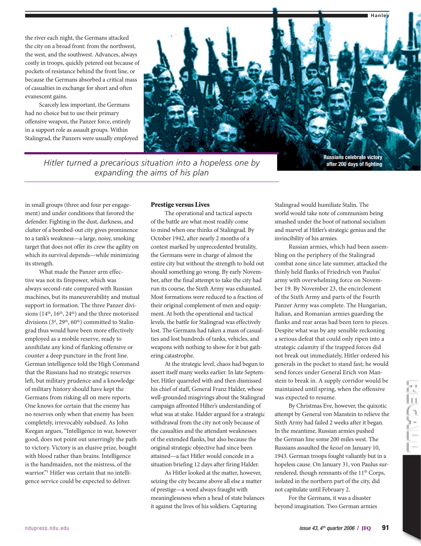the river each night, the Germans attacked the city on a broad front: from the northwest, the west, and the southwest. Advances, always costly in troops, quickly petered out because of pockets of resistance behind the front line, or because the Germans absorbed a critical mass of casualties in exchange for short and often evanescent gains.

Scarcely less important, the Germans had no choice but to use their primary offensive weapon, the Panzer force, entirely in a support role as assault groups. Within Stalingrad, the Panzers were usually employed



*Hitler turned a precarious situation into a hopeless one by expanding the aims of his plan*

Russians celebrate victory after 200 days of fighting

in small groups (three and four per engagement) and under conditions that favored the defender. Fighting in the dust, darkness, and clutter of a bombed-out city gives prominence to a tank's weakness—a large, noisy, smoking target that does not offer its crew the agility on which its survival depends—while minimizing its strength.

What made the Panzer arm effective was not its firepower, which was always second-rate compared with Russian machines, but its maneuverability and mutual support in formation. The three Panzer divisions ( $14<sup>th</sup>$ ,  $16<sup>th</sup>$ ,  $24<sup>th</sup>$ ) and the three motorized divisions  $(3^d, 29^{\text{th}}, 60^{\text{th}})$  committed to Stalingrad thus would have been more effectively employed as a mobile reserve, ready to annihilate any kind of flanking offensive or counter a deep puncture in the front line. German intelligence told the High Command that the Russians had no strategic reserves left, but military prudence and a knowledge of military history should have kept the Germans from risking all on mere reports. One knows for certain that the enemy has no reserves only when that enemy has been completely, irrevocably subdued. As John Keegan argues, "Intelligence in war, however good, does not point out unerringly the path to victory. Victory is an elusive prize, bought with blood rather than brains. Intelligence is the handmaiden, not the mistress, of the warrior."1 Hitler was certain that no intelligence service could be expected to deliver.

### Prestige versus Lives

The operational and tactical aspects of the battle are what most readily come to mind when one thinks of Stalingrad. By October 1942, after nearly 2 months of a contest marked by unprecedented brutality, the Germans were in charge of almost the entire city but without the strength to hold out should something go wrong. By early November, after the final attempt to take the city had run its course, the Sixth Army was exhausted. Most formations were reduced to a fraction of their original complement of men and equipment. At both the operational and tactical levels, the battle for Stalingrad was effectively lost. The Germans had taken a mass of casualties and lost hundreds of tanks, vehicles, and weapons with nothing to show for it but gathering catastrophe.

At the strategic level, chaos had begun to assert itself many weeks earlier. In late September, Hitler quarreled with and then dismissed his chief of staff, General Franz Halder, whose well-grounded misgivings about the Stalingrad campaign affronted Hilter's understanding of what was at stake. Halder argued for a strategic withdrawal from the city not only because of the casualties and the attendant weaknesses of the extended flanks, but also because the original strategic objective had since been attained—a fact Hitler would concede in a situation briefing 12 days after firing Halder.

As Hitler looked at the matter, however, seizing the city became above all else a matter of prestige—a word always fraught with meaninglessness when a head of state balances it against the lives of his soldiers. Capturing

Stalingrad would humiliate Stalin. The world would take note of communism being smashed under the boot of national socialism and marvel at Hitler's strategic genius and the invincibility of his armies.

Russian armies, which had been assembling on the periphery of the Stalingrad combat zone since late summer, attacked the thinly held flanks of Friedrich von Paulus' army with overwhelming force on November 19. By November 23, the encirclement of the Sixth Army and parts of the Fourth Panzer Army was complete. The Hungarian, Italian, and Romanian armies guarding the flanks and rear areas had been torn to pieces. Despite what was by any sensible reckoning a serious defeat that could only ripen into a strategic calamity if the trapped forces did not break out immediately, Hitler ordered his generals in the pocket to stand fast; he would send forces under General Erich von Manstein to break in. A supply corridor would be maintained until spring, when the offensive was expected to resume.

By Christmas Eve, however, the quixotic attempt by General von Manstein to relieve the Sixth Army had failed 2 weeks after it began. In the meantime, Russian armies pushed the German line some 200 miles west. The Russians assaulted the *kessel* on January 10, 1943. German troops fought valiantly but in a hopeless cause. On January 31, von Paulus surrendered, though remnants of the 11<sup>th</sup> Corps, isolated in the northern part of the city, did not capitulate until February 2.

For the Germans, it was a disaster beyond imagination. Two German armies